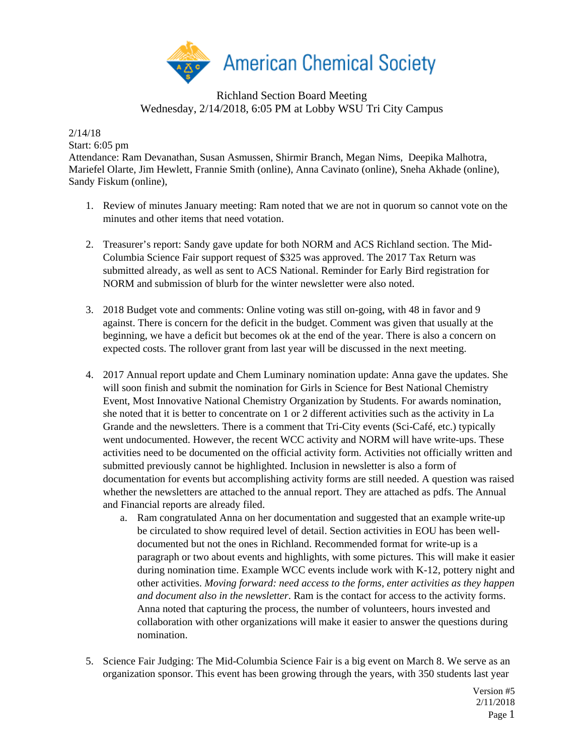

## Richland Section Board Meeting Wednesday, 2/14/2018, 6:05 PM at Lobby WSU Tri City Campus

2/14/18

Start: 6:05 pm

Attendance: Ram Devanathan, Susan Asmussen, Shirmir Branch, Megan Nims, Deepika Malhotra, Mariefel Olarte, Jim Hewlett, Frannie Smith (online), Anna Cavinato (online), Sneha Akhade (online), Sandy Fiskum (online),

- 1. Review of minutes January meeting: Ram noted that we are not in quorum so cannot vote on the minutes and other items that need votation.
- 2. Treasurer's report: Sandy gave update for both NORM and ACS Richland section. The Mid-Columbia Science Fair support request of \$325 was approved. The 2017 Tax Return was submitted already, as well as sent to ACS National. Reminder for Early Bird registration for NORM and submission of blurb for the winter newsletter were also noted.
- 3. 2018 Budget vote and comments: Online voting was still on-going, with 48 in favor and 9 against. There is concern for the deficit in the budget. Comment was given that usually at the beginning, we have a deficit but becomes ok at the end of the year. There is also a concern on expected costs. The rollover grant from last year will be discussed in the next meeting.
- 4. 2017 Annual report update and Chem Luminary nomination update: Anna gave the updates. She will soon finish and submit the nomination for Girls in Science for Best National Chemistry Event, Most Innovative National Chemistry Organization by Students. For awards nomination, she noted that it is better to concentrate on 1 or 2 different activities such as the activity in La Grande and the newsletters. There is a comment that Tri-City events (Sci-Café, etc.) typically went undocumented. However, the recent WCC activity and NORM will have write-ups. These activities need to be documented on the official activity form. Activities not officially written and submitted previously cannot be highlighted. Inclusion in newsletter is also a form of documentation for events but accomplishing activity forms are still needed. A question was raised whether the newsletters are attached to the annual report. They are attached as pdfs. The Annual and Financial reports are already filed.
	- a. Ram congratulated Anna on her documentation and suggested that an example write-up be circulated to show required level of detail. Section activities in EOU has been welldocumented but not the ones in Richland. Recommended format for write-up is a paragraph or two about events and highlights, with some pictures. This will make it easier during nomination time. Example WCC events include work with K-12, pottery night and other activities. *Moving forward: need access to the forms, enter activities as they happen and document also in the newsletter*. Ram is the contact for access to the activity forms. Anna noted that capturing the process, the number of volunteers, hours invested and collaboration with other organizations will make it easier to answer the questions during nomination.
- 5. Science Fair Judging: The Mid-Columbia Science Fair is a big event on March 8. We serve as an organization sponsor. This event has been growing through the years, with 350 students last year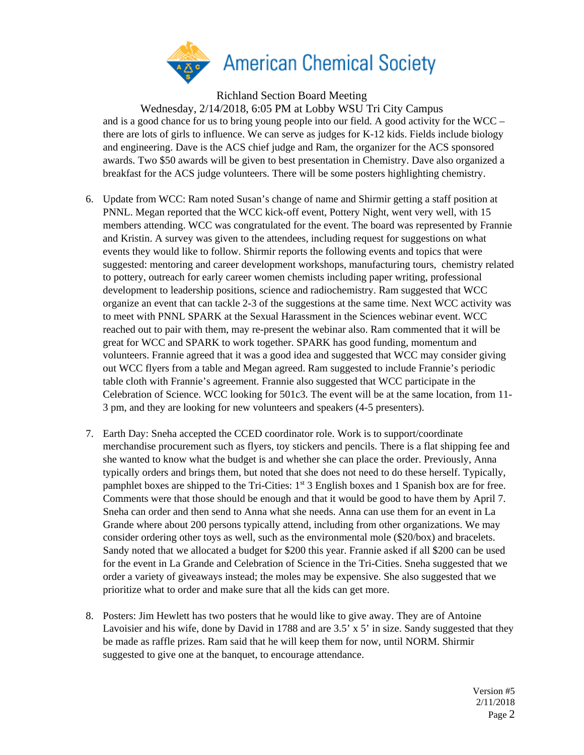

Richland Section Board Meeting

Wednesday, 2/14/2018, 6:05 PM at Lobby WSU Tri City Campus and is a good chance for us to bring young people into our field. A good activity for the WCC – there are lots of girls to influence. We can serve as judges for K-12 kids. Fields include biology and engineering. Dave is the ACS chief judge and Ram, the organizer for the ACS sponsored awards. Two \$50 awards will be given to best presentation in Chemistry. Dave also organized a breakfast for the ACS judge volunteers. There will be some posters highlighting chemistry.

- 6. Update from WCC: Ram noted Susan's change of name and Shirmir getting a staff position at PNNL. Megan reported that the WCC kick-off event, Pottery Night, went very well, with 15 members attending. WCC was congratulated for the event. The board was represented by Frannie and Kristin. A survey was given to the attendees, including request for suggestions on what events they would like to follow. Shirmir reports the following events and topics that were suggested: mentoring and career development workshops, manufacturing tours, chemistry related to pottery, outreach for early career women chemists including paper writing, professional development to leadership positions, science and radiochemistry. Ram suggested that WCC organize an event that can tackle 2-3 of the suggestions at the same time. Next WCC activity was to meet with PNNL SPARK at the Sexual Harassment in the Sciences webinar event. WCC reached out to pair with them, may re-present the webinar also. Ram commented that it will be great for WCC and SPARK to work together. SPARK has good funding, momentum and volunteers. Frannie agreed that it was a good idea and suggested that WCC may consider giving out WCC flyers from a table and Megan agreed. Ram suggested to include Frannie's periodic table cloth with Frannie's agreement. Frannie also suggested that WCC participate in the Celebration of Science. WCC looking for 501c3. The event will be at the same location, from 11- 3 pm, and they are looking for new volunteers and speakers (4-5 presenters).
- 7. Earth Day: Sneha accepted the CCED coordinator role. Work is to support/coordinate merchandise procurement such as flyers, toy stickers and pencils. There is a flat shipping fee and she wanted to know what the budget is and whether she can place the order. Previously, Anna typically orders and brings them, but noted that she does not need to do these herself. Typically, pamphlet boxes are shipped to the Tri-Cities:  $1<sup>st</sup>$  3 English boxes and 1 Spanish box are for free. Comments were that those should be enough and that it would be good to have them by April 7. Sneha can order and then send to Anna what she needs. Anna can use them for an event in La Grande where about 200 persons typically attend, including from other organizations. We may consider ordering other toys as well, such as the environmental mole (\$20/box) and bracelets. Sandy noted that we allocated a budget for \$200 this year. Frannie asked if all \$200 can be used for the event in La Grande and Celebration of Science in the Tri-Cities. Sneha suggested that we order a variety of giveaways instead; the moles may be expensive. She also suggested that we prioritize what to order and make sure that all the kids can get more.
- 8. Posters: Jim Hewlett has two posters that he would like to give away. They are of Antoine Lavoisier and his wife, done by David in 1788 and are 3.5' x 5' in size. Sandy suggested that they be made as raffle prizes. Ram said that he will keep them for now, until NORM. Shirmir suggested to give one at the banquet, to encourage attendance.

Version #5 2/11/2018 Page 2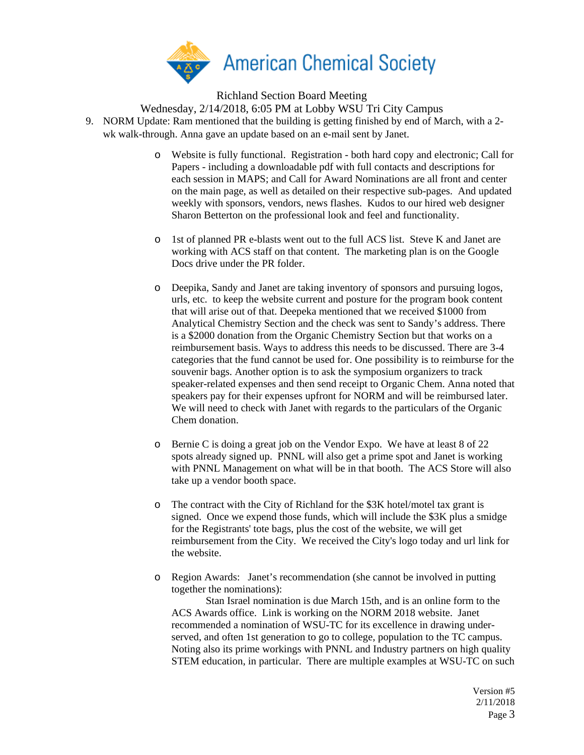

Richland Section Board Meeting

Wednesday, 2/14/2018, 6:05 PM at Lobby WSU Tri City Campus

- 9. NORM Update: Ram mentioned that the building is getting finished by end of March, with a 2 wk walk-through. Anna gave an update based on an e-mail sent by Janet.
	- o Website is fully functional. Registration both hard copy and electronic; Call for Papers - including a downloadable pdf with full contacts and descriptions for each session in MAPS; and Call for Award Nominations are all front and center on the main page, as well as detailed on their respective sub-pages. And updated weekly with sponsors, vendors, news flashes. Kudos to our hired web designer Sharon Betterton on the professional look and feel and functionality.
	- o 1st of planned PR e-blasts went out to the full ACS list. Steve K and Janet are working with ACS staff on that content. The marketing plan is on the Google Docs drive under the PR folder.
	- o Deepika, Sandy and Janet are taking inventory of sponsors and pursuing logos, urls, etc. to keep the website current and posture for the program book content that will arise out of that. Deepeka mentioned that we received \$1000 from Analytical Chemistry Section and the check was sent to Sandy's address. There is a \$2000 donation from the Organic Chemistry Section but that works on a reimbursement basis. Ways to address this needs to be discussed. There are 3-4 categories that the fund cannot be used for. One possibility is to reimburse for the souvenir bags. Another option is to ask the symposium organizers to track speaker-related expenses and then send receipt to Organic Chem. Anna noted that speakers pay for their expenses upfront for NORM and will be reimbursed later. We will need to check with Janet with regards to the particulars of the Organic Chem donation.
	- o Bernie C is doing a great job on the Vendor Expo. We have at least 8 of 22 spots already signed up. PNNL will also get a prime spot and Janet is working with PNNL Management on what will be in that booth. The ACS Store will also take up a vendor booth space.
	- o The contract with the City of Richland for the \$3K hotel/motel tax grant is signed. Once we expend those funds, which will include the \$3K plus a smidge for the Registrants' tote bags, plus the cost of the website, we will get reimbursement from the City. We received the City's logo today and url link for the website.
	- o Region Awards: Janet's recommendation (she cannot be involved in putting together the nominations):

Stan Israel nomination is due March 15th, and is an online form to the ACS Awards office. Link is working on the NORM 2018 website. Janet recommended a nomination of WSU-TC for its excellence in drawing underserved, and often 1st generation to go to college, population to the TC campus. Noting also its prime workings with PNNL and Industry partners on high quality STEM education, in particular. There are multiple examples at WSU-TC on such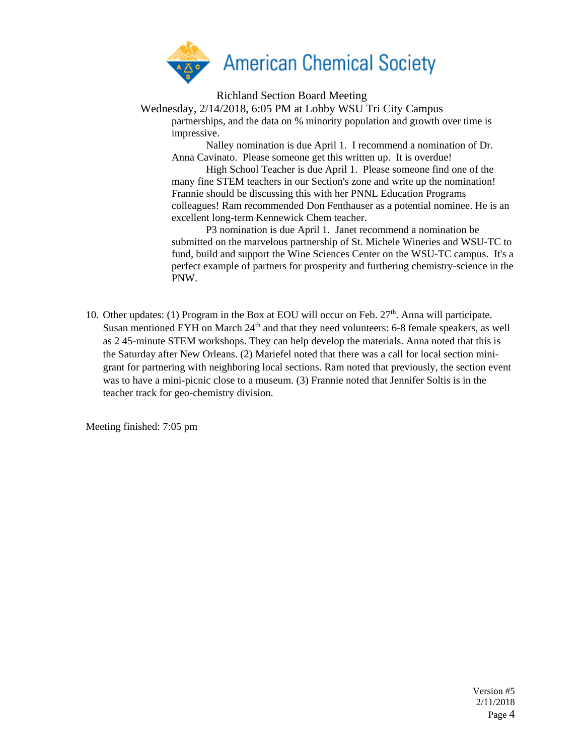

Richland Section Board Meeting

Wednesday, 2/14/2018, 6:05 PM at Lobby WSU Tri City Campus partnerships, and the data on % minority population and growth over time is impressive.

Nalley nomination is due April 1. I recommend a nomination of Dr. Anna Cavinato. Please someone get this written up. It is overdue!

High School Teacher is due April 1. Please someone find one of the many fine STEM teachers in our Section's zone and write up the nomination! Frannie should be discussing this with her PNNL Education Programs colleagues! Ram recommended Don Fenthauser as a potential nominee. He is an excellent long-term Kennewick Chem teacher.

P3 nomination is due April 1. Janet recommend a nomination be submitted on the marvelous partnership of St. Michele Wineries and WSU-TC to fund, build and support the Wine Sciences Center on the WSU-TC campus. It's a perfect example of partners for prosperity and furthering chemistry-science in the PNW.

10. Other updates: (1) Program in the Box at EOU will occur on Feb.  $27<sup>th</sup>$ . Anna will participate. Susan mentioned EYH on March  $24<sup>th</sup>$  and that they need volunteers: 6-8 female speakers, as well as 2 45-minute STEM workshops. They can help develop the materials. Anna noted that this is the Saturday after New Orleans. (2) Mariefel noted that there was a call for local section minigrant for partnering with neighboring local sections. Ram noted that previously, the section event was to have a mini-picnic close to a museum. (3) Frannie noted that Jennifer Soltis is in the teacher track for geo-chemistry division.

Meeting finished: 7:05 pm